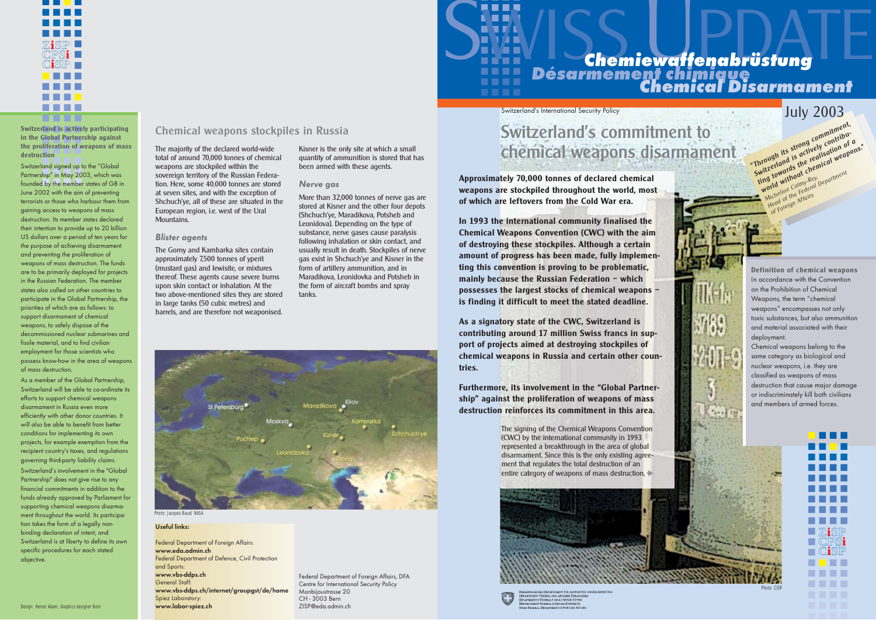**Approximately 70,000 tonnes of declared chemical weapons are stockpiled throughout the world, most of which are leftovers from the Cold War era.** 

**In 1993 the international community finalised the Chemical Weapons Convention (CWC) with the aim of destroying these stockpiles. Although a certain amount of progress has been made, fully implementing this convention is proving to be problematic, mainly because the Russian Federation – which possesses the largest stocks of chemical weapons – is finding it difficult to meet the stated deadline.** 

**As a signatory state of the CWC, Switzerland is contributing around 17 million Swiss francs in support of projects aimed at destroying stockpiles of chemical weapons in Russia and certain other countries.** 

**Furthermore, its involvement in the "Global Partnership" against the proliferation of weapons of mass destruction reinforces its commitment in this area.** 

**Definition of chemical weapons**  In accordance with the Convention on the Prohibition of Chemical Weapons, the term "chemical weapons" encompasses not only toxic substances, but also ammunition and material associated with their deployment.

Chemical weapons belong to the same category as biological and nuclear weapons, i.e. they are classified as weapons of mass destruction that cause major damage or indiscriminately kill both civilians and members of armed forces.

Kisner is the only site at which a small quantity of ammunition is stored that has been armed with these agents.

#### Nerve gas

More than 32,000 tonnes of nerve gas are stored at Kisner and the other four depots (Shchuch'ye, Maradikova, Potsheb and Leonidova). Depending on the type of substance, nerve gases cause paralysis following inhalation or skin contact, and usually result in death. Stockpiles of nerve gas exist in Shchuch'ye and Kisner in the form of artillery ammunition, and in Maradikova, Leonidovka and Potsheb in the form of aircraft bombs and spray tanks.

Federal Department of Foreign Affairs, DFA Centre for International Security Policy Monbijoustrasse 20 CH - 3003 Bern ZISP@eda.admin.ch

# Chemical weapons stockpiles in Russia

The majority of the declared world-wide total of around 70,000 tonnes of chemical weapons are stockpiled within the sovereign territory of the Russian Federation. Here, some 40,000 tonnes are stored at seven sites, and with the exception of Shchuch'ye, all of these are situated in the European region, i.e. west of the Ural Mountains.

**assitution**<br>Switzerland signed up to the "Global ownzeriana signed up to me Globar<br>Partnership" in May 2003, which was Funnitum and the member states of G8 in June 2002 with the aim of preventing terrorists or those who harbour them from gaining access to weapons of mass destruction. Its member states declared their intention to provide up to 20 billion US dollars over a period of ten years for the purpose of achieving disarmament and preventing the proliferation of weapons of mass destruction. The funds are to be primarily deployed for projects in the Russian Federation. The member states also called on other countries to participate in the Global Partnership, the priorities of which are as follows: to support disarmament of chemical weapons, to safely dispose of the decommissioned nuclear submarines and fissile material, and to find civilian employment for those scientists who possess know-how in the area of weapons of mass destruction.

#### Blister agents

The Gorny and Kambarka sites contain approximately 7,500 tonnes of yperit (mustard gas) and lewisite, or mixtures thereof. These agents cause severe burns upon skin contact or inhalation. At the two above-mentioned sites they are stored in large tanks (50 cubic metres) and barrels, and are therefore not weaponised.

> ■ ■■■ ■ ■ ■ ■ ■■■■ ■■■■ ■■■■ ■■■■ ■■■■ ■■■■ ■■■■ ■ 21sp  $\blacksquare$   $\mathbb{C}$   $\mathbb{P}\mathbb{S}$   $\mathbf{i}$  $\blacksquare$   $\complement$   $\blacksquare$ ■ ■ ■ ■ ■■■■ ■■■■

The signing of the Chemical Weapons Convention (CWC) by the international community in 1993 represented a breakthrough in the area of global disarmament. Since this is the only existing agreement that regulates the total destruction of an entire category of weapons of mass destruction,



|    | EIDGENÖSSISCHES DEPARTEMENT FÜR AUSWÄ          |
|----|------------------------------------------------|
|    | DÉPARTEMENT FÉDÉRAL DES AFFAIRES ÉTRAN         |
|    | <b>DIPARTIMENTO FEDERALE DEGLI AFFARI ESTE</b> |
| T) | <b>DEPARTAMENT FEDERAL D'AFFARS EXTÉRIUR</b>   |
|    | <b>SWISS FEDERAL DEPARTMENT OF FOREIGN AF</b>  |



Photo: Jacques Baud/NASA

Photo: CISP

#### Useful links:

Federal Department of Foreign Affairs: www.eda.admin.ch Federal Department of Defence, Civil Protection and Sports: www.vbs-ddps.ch General Staff: www.vbs-ddps.ch/internet/groupgst/de/home Spiez Laboratory: www.labor-spiez.ch



■■■■ ■■■■ ■■■■

# **Désarmement chimique Chemical Disarmament**

# Switzerland's International Security Policy **Switzerland's International Security Policy**

Ting towards the realisation of a<br>ting towards the remical weapons."<br>World without chemical weapons."<br>Micheline the Federal Department<br>Head of the Affairs

**But the Federal Department**<br>**Prid without Calmy Rey, Department**<br>*A*icheline calmers<br>Head of the Affairs

"Through its strong commitment, Intough its strong communication SWITZEHAMA IS actively contribu-

**19 to without** Rey,<br>**yorld without** Calmy-Rey, the Calors of The Calors of The Micheline Calors of the Register of The Calors of The M<br>Micheline Calering Micheline Calors of the Negation of the Register of the Register of

che, of the Affairs<br>lead of the Affairs<br>of Foreign

# Switzerland's commitment to chemical weapons disarmament

■■■■ **Switzerland is actively participating** ■■■■ **in the Global Partnership against** the proliferation of weapons of mass<br>designation **destruction**



As a member of the Global Partnership, Switzerland will be able to co-ordinate its efforts to support chemical weapons disarmament in Russia even more efficiently with other donor countries. It will also be able to benefit from better conditions for implementing its own projects, for example exemption from the recipient country's taxes, and regulations governing third-party liability claims.

Switzerland's involvement in the "Global Partnership" does not give rise to any financial commitments in addition to the funds already approved by Parliament for supporting chemical weapons disarmament throughout the world. Its participation takes the form of a legally nonbinding declaration of intent, and Switzerland is at liberty to define its own specific procedures for each stated objective.

**ZiSP CPSi CiSP**

**ZiSP CPSi CiSP**